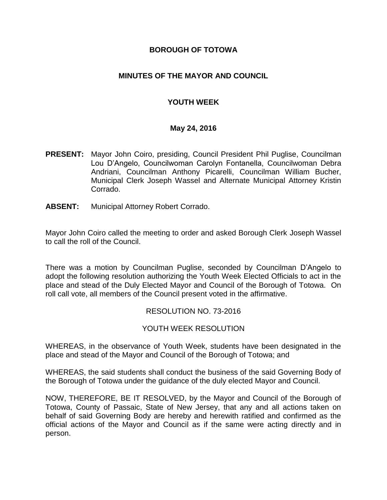#### **BOROUGH OF TOTOWA**

### **MINUTES OF THE MAYOR AND COUNCIL**

### **YOUTH WEEK**

#### **May 24, 2016**

- **PRESENT:** Mayor John Coiro, presiding, Council President Phil Puglise, Councilman Lou D'Angelo, Councilwoman Carolyn Fontanella, Councilwoman Debra Andriani, Councilman Anthony Picarelli, Councilman William Bucher, Municipal Clerk Joseph Wassel and Alternate Municipal Attorney Kristin Corrado.
- **ABSENT:** Municipal Attorney Robert Corrado.

Mayor John Coiro called the meeting to order and asked Borough Clerk Joseph Wassel to call the roll of the Council.

There was a motion by Councilman Puglise, seconded by Councilman D'Angelo to adopt the following resolution authorizing the Youth Week Elected Officials to act in the place and stead of the Duly Elected Mayor and Council of the Borough of Totowa. On roll call vote, all members of the Council present voted in the affirmative.

#### RESOLUTION NO. 73-2016

#### YOUTH WEEK RESOLUTION

WHEREAS, in the observance of Youth Week, students have been designated in the place and stead of the Mayor and Council of the Borough of Totowa; and

WHEREAS, the said students shall conduct the business of the said Governing Body of the Borough of Totowa under the guidance of the duly elected Mayor and Council.

NOW, THEREFORE, BE IT RESOLVED, by the Mayor and Council of the Borough of Totowa, County of Passaic, State of New Jersey, that any and all actions taken on behalf of said Governing Body are hereby and herewith ratified and confirmed as the official actions of the Mayor and Council as if the same were acting directly and in person.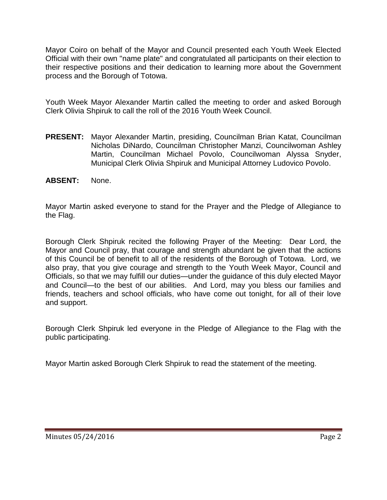Mayor Coiro on behalf of the Mayor and Council presented each Youth Week Elected Official with their own "name plate" and congratulated all participants on their election to their respective positions and their dedication to learning more about the Government process and the Borough of Totowa.

Youth Week Mayor Alexander Martin called the meeting to order and asked Borough Clerk Olivia Shpiruk to call the roll of the 2016 Youth Week Council.

- **PRESENT:** Mayor Alexander Martin, presiding, Councilman Brian Katat, Councilman Nicholas DiNardo, Councilman Christopher Manzi, Councilwoman Ashley Martin, Councilman Michael Povolo, Councilwoman Alyssa Snyder, Municipal Clerk Olivia Shpiruk and Municipal Attorney Ludovico Povolo.
- **ABSENT:** None.

Mayor Martin asked everyone to stand for the Prayer and the Pledge of Allegiance to the Flag.

Borough Clerk Shpiruk recited the following Prayer of the Meeting: Dear Lord, the Mayor and Council pray, that courage and strength abundant be given that the actions of this Council be of benefit to all of the residents of the Borough of Totowa. Lord, we also pray, that you give courage and strength to the Youth Week Mayor, Council and Officials, so that we may fulfill our duties—under the guidance of this duly elected Mayor and Council—to the best of our abilities. And Lord, may you bless our families and friends, teachers and school officials, who have come out tonight, for all of their love and support.

Borough Clerk Shpiruk led everyone in the Pledge of Allegiance to the Flag with the public participating.

Mayor Martin asked Borough Clerk Shpiruk to read the statement of the meeting.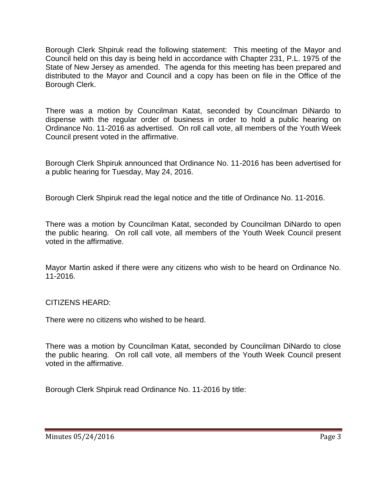Borough Clerk Shpiruk read the following statement: This meeting of the Mayor and Council held on this day is being held in accordance with Chapter 231, P.L. 1975 of the State of New Jersey as amended. The agenda for this meeting has been prepared and distributed to the Mayor and Council and a copy has been on file in the Office of the Borough Clerk.

There was a motion by Councilman Katat, seconded by Councilman DiNardo to dispense with the regular order of business in order to hold a public hearing on Ordinance No. 11-2016 as advertised. On roll call vote, all members of the Youth Week Council present voted in the affirmative.

Borough Clerk Shpiruk announced that Ordinance No. 11-2016 has been advertised for a public hearing for Tuesday, May 24, 2016.

Borough Clerk Shpiruk read the legal notice and the title of Ordinance No. 11-2016.

There was a motion by Councilman Katat, seconded by Councilman DiNardo to open the public hearing. On roll call vote, all members of the Youth Week Council present voted in the affirmative.

Mayor Martin asked if there were any citizens who wish to be heard on Ordinance No. 11-2016.

# CITIZENS HEARD:

There were no citizens who wished to be heard.

There was a motion by Councilman Katat, seconded by Councilman DiNardo to close the public hearing. On roll call vote, all members of the Youth Week Council present voted in the affirmative.

Borough Clerk Shpiruk read Ordinance No. 11-2016 by title: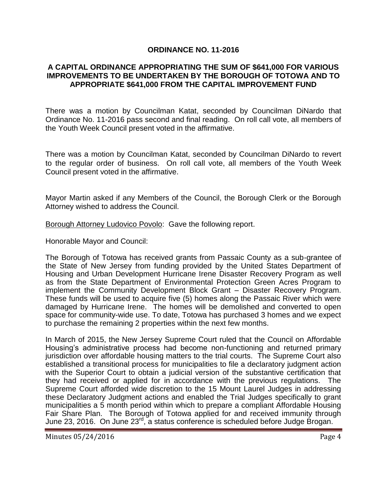#### **ORDINANCE NO. 11-2016**

#### **A CAPITAL ORDINANCE APPROPRIATING THE SUM OF \$641,000 FOR VARIOUS IMPROVEMENTS TO BE UNDERTAKEN BY THE BOROUGH OF TOTOWA AND TO APPROPRIATE \$641,000 FROM THE CAPITAL IMPROVEMENT FUND**

There was a motion by Councilman Katat, seconded by Councilman DiNardo that Ordinance No. 11-2016 pass second and final reading. On roll call vote, all members of the Youth Week Council present voted in the affirmative.

There was a motion by Councilman Katat, seconded by Councilman DiNardo to revert to the regular order of business. On roll call vote, all members of the Youth Week Council present voted in the affirmative.

Mayor Martin asked if any Members of the Council, the Borough Clerk or the Borough Attorney wished to address the Council.

Borough Attorney Ludovico Povolo: Gave the following report.

Honorable Mayor and Council:

The Borough of Totowa has received grants from Passaic County as a sub-grantee of the State of New Jersey from funding provided by the United States Department of Housing and Urban Development Hurricane Irene Disaster Recovery Program as well as from the State Department of Environmental Protection Green Acres Program to implement the Community Development Block Grant – Disaster Recovery Program. These funds will be used to acquire five (5) homes along the Passaic River which were damaged by Hurricane Irene. The homes will be demolished and converted to open space for community-wide use. To date, Totowa has purchased 3 homes and we expect to purchase the remaining 2 properties within the next few months.

In March of 2015, the New Jersey Supreme Court ruled that the Council on Affordable Housing's administrative process had become non-functioning and returned primary jurisdiction over affordable housing matters to the trial courts. The Supreme Court also established a transitional process for municipalities to file a declaratory judgment action with the Superior Court to obtain a judicial version of the substantive certification that they had received or applied for in accordance with the previous regulations. The Supreme Court afforded wide discretion to the 15 Mount Laurel Judges in addressing these Declaratory Judgment actions and enabled the Trial Judges specifically to grant municipalities a 5 month period within which to prepare a compliant Affordable Housing Fair Share Plan. The Borough of Totowa applied for and received immunity through June 23, 2016. On June 23<sup>rd</sup>, a status conference is scheduled before Judge Brogan.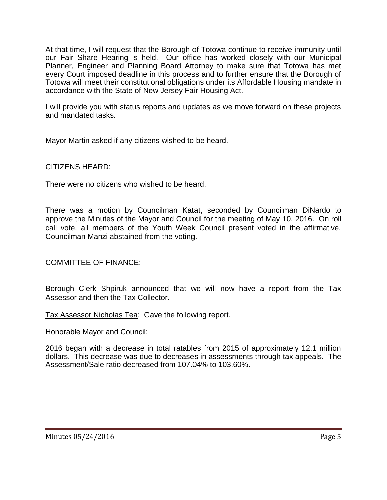At that time, I will request that the Borough of Totowa continue to receive immunity until our Fair Share Hearing is held. Our office has worked closely with our Municipal Planner, Engineer and Planning Board Attorney to make sure that Totowa has met every Court imposed deadline in this process and to further ensure that the Borough of Totowa will meet their constitutional obligations under its Affordable Housing mandate in accordance with the State of New Jersey Fair Housing Act.

I will provide you with status reports and updates as we move forward on these projects and mandated tasks.

Mayor Martin asked if any citizens wished to be heard.

CITIZENS HEARD:

There were no citizens who wished to be heard.

There was a motion by Councilman Katat, seconded by Councilman DiNardo to approve the Minutes of the Mayor and Council for the meeting of May 10, 2016. On roll call vote, all members of the Youth Week Council present voted in the affirmative. Councilman Manzi abstained from the voting.

COMMITTEE OF FINANCE:

Borough Clerk Shpiruk announced that we will now have a report from the Tax Assessor and then the Tax Collector.

Tax Assessor Nicholas Tea: Gave the following report.

Honorable Mayor and Council:

2016 began with a decrease in total ratables from 2015 of approximately 12.1 million dollars. This decrease was due to decreases in assessments through tax appeals. The Assessment/Sale ratio decreased from 107.04% to 103.60%.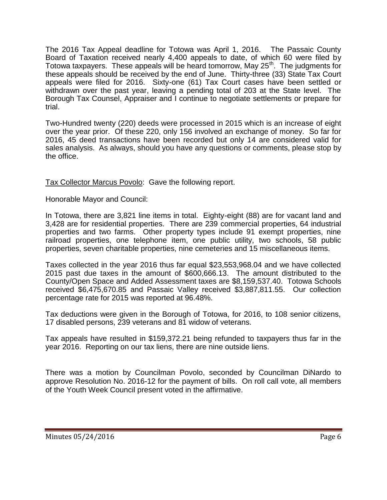The 2016 Tax Appeal deadline for Totowa was April 1, 2016. The Passaic County Board of Taxation received nearly 4,400 appeals to date, of which 60 were filed by Totowa taxpayers. These appeals will be heard tomorrow, May  $25<sup>th</sup>$ . The judgments for these appeals should be received by the end of June. Thirty-three (33) State Tax Court appeals were filed for 2016. Sixty-one (61) Tax Court cases have been settled or withdrawn over the past year, leaving a pending total of 203 at the State level. The Borough Tax Counsel, Appraiser and I continue to negotiate settlements or prepare for trial.

Two-Hundred twenty (220) deeds were processed in 2015 which is an increase of eight over the year prior. Of these 220, only 156 involved an exchange of money. So far for 2016, 45 deed transactions have been recorded but only 14 are considered valid for sales analysis. As always, should you have any questions or comments, please stop by the office.

Tax Collector Marcus Povolo: Gave the following report.

Honorable Mayor and Council:

In Totowa, there are 3,821 line items in total. Eighty-eight (88) are for vacant land and 3,428 are for residential properties. There are 239 commercial properties, 64 industrial properties and two farms. Other property types include 91 exempt properties, nine railroad properties, one telephone item, one public utility, two schools, 58 public properties, seven charitable properties, nine cemeteries and 15 miscellaneous items.

Taxes collected in the year 2016 thus far equal \$23,553,968.04 and we have collected 2015 past due taxes in the amount of \$600,666.13. The amount distributed to the County/Open Space and Added Assessment taxes are \$8,159,537.40. Totowa Schools received \$6,475,670.85 and Passaic Valley received \$3,887,811.55. Our collection percentage rate for 2015 was reported at 96.48%.

Tax deductions were given in the Borough of Totowa, for 2016, to 108 senior citizens, 17 disabled persons, 239 veterans and 81 widow of veterans.

Tax appeals have resulted in \$159,372.21 being refunded to taxpayers thus far in the year 2016. Reporting on our tax liens, there are nine outside liens.

There was a motion by Councilman Povolo, seconded by Councilman DiNardo to approve Resolution No. 2016-12 for the payment of bills. On roll call vote, all members of the Youth Week Council present voted in the affirmative.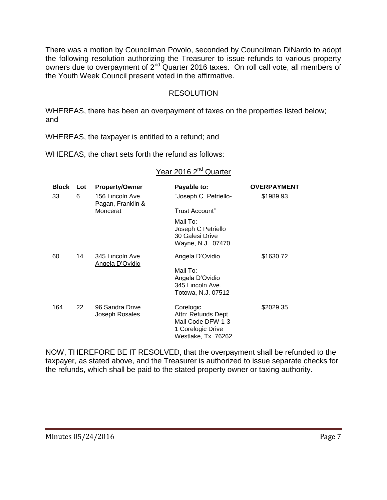There was a motion by Councilman Povolo, seconded by Councilman DiNardo to adopt the following resolution authorizing the Treasurer to issue refunds to various property owners due to overpayment of 2<sup>nd</sup> Quarter 2016 taxes. On roll call vote, all members of the Youth Week Council present voted in the affirmative.

# RESOLUTION

WHEREAS, there has been an overpayment of taxes on the properties listed below; and

WHEREAS, the taxpayer is entitled to a refund; and

WHEREAS, the chart sets forth the refund as follows:

# Year 2016 2<sup>nd</sup> Quarter

| <b>Block</b> | Lot | <b>Property/Owner</b>                 | Payable to:                                                                                      | <b>OVERPAYMENT</b> |
|--------------|-----|---------------------------------------|--------------------------------------------------------------------------------------------------|--------------------|
| 33           | 6   | 156 Lincoln Ave.<br>Pagan, Franklin & | "Joseph C. Petriello-                                                                            | \$1989.93          |
|              |     | Moncerat                              | Trust Account"                                                                                   |                    |
|              |     |                                       | Mail To:<br>Joseph C Petriello<br>30 Galesi Drive<br>Wayne, N.J. 07470                           |                    |
| 60           | 14  | 345 Lincoln Ave<br>Angela D'Ovidio    | Angela D'Ovidio                                                                                  | \$1630.72          |
|              |     |                                       | Mail To:<br>Angela D'Ovidio<br>345 Lincoln Ave.<br>Totowa, N.J. 07512                            |                    |
| 164          | 22  | 96 Sandra Drive<br>Joseph Rosales     | Corelogic<br>Attn: Refunds Dept.<br>Mail Code DFW 1-3<br>1 Corelogic Drive<br>Westlake, Tx 76262 | \$2029.35          |

NOW, THEREFORE BE IT RESOLVED, that the overpayment shall be refunded to the taxpayer, as stated above, and the Treasurer is authorized to issue separate checks for the refunds, which shall be paid to the stated property owner or taxing authority.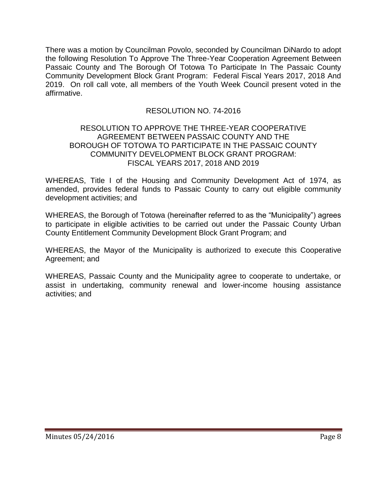There was a motion by Councilman Povolo, seconded by Councilman DiNardo to adopt the following Resolution To Approve The Three-Year Cooperation Agreement Between Passaic County and The Borough Of Totowa To Participate In The Passaic County Community Development Block Grant Program: Federal Fiscal Years 2017, 2018 And 2019. On roll call vote, all members of the Youth Week Council present voted in the affirmative.

# RESOLUTION NO. 74-2016

#### RESOLUTION TO APPROVE THE THREE-YEAR COOPERATIVE AGREEMENT BETWEEN PASSAIC COUNTY AND THE BOROUGH OF TOTOWA TO PARTICIPATE IN THE PASSAIC COUNTY COMMUNITY DEVELOPMENT BLOCK GRANT PROGRAM: FISCAL YEARS 2017, 2018 AND 2019

WHEREAS, Title I of the Housing and Community Development Act of 1974, as amended, provides federal funds to Passaic County to carry out eligible community development activities; and

WHEREAS, the Borough of Totowa (hereinafter referred to as the "Municipality") agrees to participate in eligible activities to be carried out under the Passaic County Urban County Entitlement Community Development Block Grant Program; and

WHEREAS, the Mayor of the Municipality is authorized to execute this Cooperative Agreement; and

WHEREAS, Passaic County and the Municipality agree to cooperate to undertake, or assist in undertaking, community renewal and lower-income housing assistance activities; and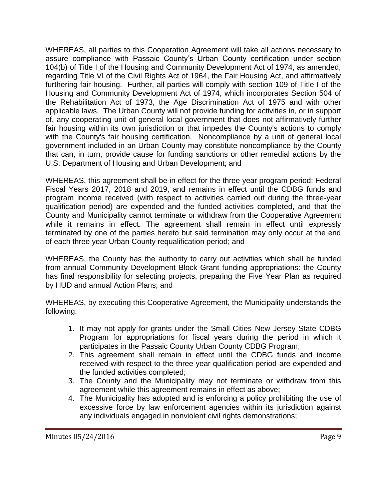WHEREAS, all parties to this Cooperation Agreement will take all actions necessary to assure compliance with Passaic County's Urban County certification under section 104(b) of Title I of the Housing and Community Development Act of 1974, as amended, regarding Title VI of the Civil Rights Act of 1964, the Fair Housing Act, and affirmatively furthering fair housing. Further, all parties will comply with section 109 of Title I of the Housing and Community Development Act of 1974, which incorporates Section 504 of the Rehabilitation Act of 1973, the Age Discrimination Act of 1975 and with other applicable laws. The Urban County will not provide funding for activities in, or in support of, any cooperating unit of general local government that does not affirmatively further fair housing within its own jurisdiction or that impedes the County's actions to comply with the County's fair housing certification. Noncompliance by a unit of general local government included in an Urban County may constitute noncompliance by the County that can, in turn, provide cause for funding sanctions or other remedial actions by the U.S. Department of Housing and Urban Development; and

WHEREAS, this agreement shall be in effect for the three year program period: Federal Fiscal Years 2017, 2018 and 2019, and remains in effect until the CDBG funds and program income received (with respect to activities carried out during the three-year qualification period) are expended and the funded activities completed, and that the County and Municipality cannot terminate or withdraw from the Cooperative Agreement while it remains in effect. The agreement shall remain in effect until expressly terminated by one of the parties hereto but said termination may only occur at the end of each three year Urban County requalification period; and

WHEREAS, the County has the authority to carry out activities which shall be funded from annual Community Development Block Grant funding appropriations: the County has final responsibility for selecting projects, preparing the Five Year Plan as required by HUD and annual Action Plans; and

WHEREAS, by executing this Cooperative Agreement, the Municipality understands the following:

- 1. It may not apply for grants under the Small Cities New Jersey State CDBG Program for appropriations for fiscal years during the period in which it participates in the Passaic County Urban County CDBG Program;
- 2. This agreement shall remain in effect until the CDBG funds and income received with respect to the three year qualification period are expended and the funded activities completed;
- 3. The County and the Municipality may not terminate or withdraw from this agreement while this agreement remains in effect as above;
- 4. The Municipality has adopted and is enforcing a policy prohibiting the use of excessive force by law enforcement agencies within its jurisdiction against any individuals engaged in nonviolent civil rights demonstrations;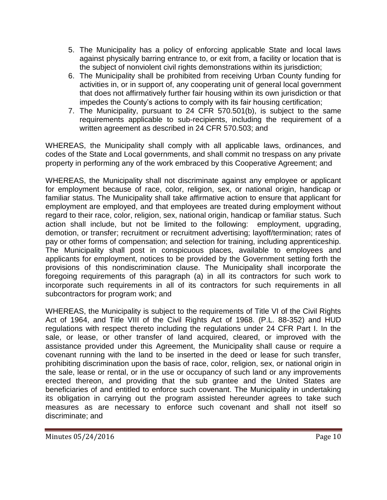- 5. The Municipality has a policy of enforcing applicable State and local laws against physically barring entrance to, or exit from, a facility or location that is the subject of nonviolent civil rights demonstrations within its jurisdiction;
- 6. The Municipality shall be prohibited from receiving Urban County funding for activities in, or in support of, any cooperating unit of general local government that does not affirmatively further fair housing within its own jurisdiction or that impedes the County's actions to comply with its fair housing certification;
- 7. The Municipality, pursuant to 24 CFR 570.501(b), is subject to the same requirements applicable to sub-recipients, including the requirement of a written agreement as described in 24 CFR 570.503; and

WHEREAS, the Municipality shall comply with all applicable laws, ordinances, and codes of the State and Local governments, and shall commit no trespass on any private property in performing any of the work embraced by this Cooperative Agreement; and

WHEREAS, the Municipality shall not discriminate against any employee or applicant for employment because of race, color, religion, sex, or national origin, handicap or familiar status. The Municipality shall take affirmative action to ensure that applicant for employment are employed, and that employees are treated during employment without regard to their race, color, religion, sex, national origin, handicap or familiar status. Such action shall include, but not be limited to the following: employment, upgrading, demotion, or transfer; recruitment or recruitment advertising; layoff/termination; rates of pay or other forms of compensation; and selection for training, including apprenticeship. The Municipality shall post in conspicuous places, available to employees and applicants for employment, notices to be provided by the Government setting forth the provisions of this nondiscrimination clause. The Municipality shall incorporate the foregoing requirements of this paragraph (a) in all its contractors for such work to incorporate such requirements in all of its contractors for such requirements in all subcontractors for program work; and

WHEREAS, the Municipality is subject to the requirements of Title VI of the Civil Rights Act of 1964, and Title VIII of the Civil Rights Act of 1968. (P.L. 88-352) and HUD regulations with respect thereto including the regulations under 24 CFR Part I. In the sale, or lease, or other transfer of land acquired, cleared, or improved with the assistance provided under this Agreement, the Municipality shall cause or require a covenant running with the land to be inserted in the deed or lease for such transfer, prohibiting discrimination upon the basis of race, color, religion, sex, or national origin in the sale, lease or rental, or in the use or occupancy of such land or any improvements erected thereon, and providing that the sub grantee and the United States are beneficiaries of and entitled to enforce such covenant. The Municipality in undertaking its obligation in carrying out the program assisted hereunder agrees to take such measures as are necessary to enforce such covenant and shall not itself so discriminate; and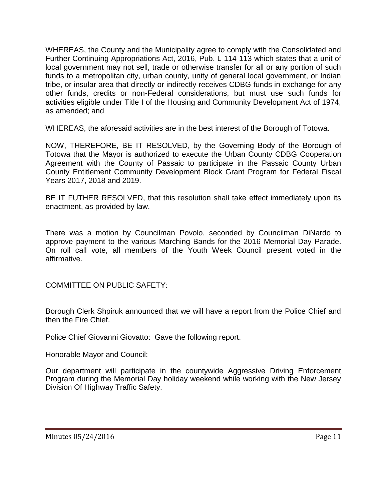WHEREAS, the County and the Municipality agree to comply with the Consolidated and Further Continuing Appropriations Act, 2016, Pub. L 114-113 which states that a unit of local government may not sell, trade or otherwise transfer for all or any portion of such funds to a metropolitan city, urban county, unity of general local government, or Indian tribe, or insular area that directly or indirectly receives CDBG funds in exchange for any other funds, credits or non-Federal considerations, but must use such funds for activities eligible under Title I of the Housing and Community Development Act of 1974, as amended; and

WHEREAS, the aforesaid activities are in the best interest of the Borough of Totowa.

NOW, THEREFORE, BE IT RESOLVED, by the Governing Body of the Borough of Totowa that the Mayor is authorized to execute the Urban County CDBG Cooperation Agreement with the County of Passaic to participate in the Passaic County Urban County Entitlement Community Development Block Grant Program for Federal Fiscal Years 2017, 2018 and 2019.

BE IT FUTHER RESOLVED, that this resolution shall take effect immediately upon its enactment, as provided by law.

There was a motion by Councilman Povolo, seconded by Councilman DiNardo to approve payment to the various Marching Bands for the 2016 Memorial Day Parade. On roll call vote, all members of the Youth Week Council present voted in the affirmative.

COMMITTEE ON PUBLIC SAFETY:

Borough Clerk Shpiruk announced that we will have a report from the Police Chief and then the Fire Chief.

Police Chief Giovanni Giovatto: Gave the following report.

Honorable Mayor and Council:

Our department will participate in the countywide Aggressive Driving Enforcement Program during the Memorial Day holiday weekend while working with the New Jersey Division Of Highway Traffic Safety.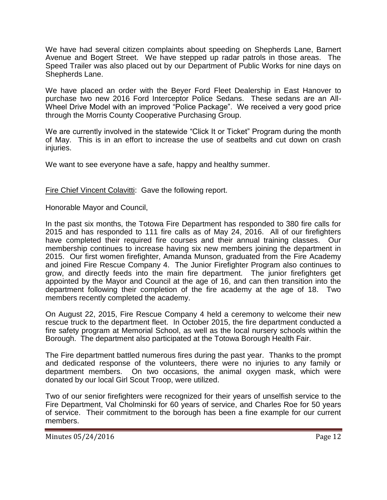We have had several citizen complaints about speeding on Shepherds Lane, Barnert Avenue and Bogert Street. We have stepped up radar patrols in those areas. The Speed Trailer was also placed out by our Department of Public Works for nine days on Shepherds Lane.

We have placed an order with the Beyer Ford Fleet Dealership in East Hanover to purchase two new 2016 Ford Interceptor Police Sedans. These sedans are an All-Wheel Drive Model with an improved "Police Package". We received a very good price through the Morris County Cooperative Purchasing Group.

We are currently involved in the statewide "Click It or Ticket" Program during the month of May. This is in an effort to increase the use of seatbelts and cut down on crash injuries.

We want to see everyone have a safe, happy and healthy summer.

Fire Chief Vincent Colavitti: Gave the following report.

Honorable Mayor and Council,

In the past six months, the Totowa Fire Department has responded to 380 fire calls for 2015 and has responded to 111 fire calls as of May 24, 2016. All of our firefighters have completed their required fire courses and their annual training classes. Our membership continues to increase having six new members joining the department in 2015. Our first women firefighter, Amanda Munson, graduated from the Fire Academy and joined Fire Rescue Company 4. The Junior Firefighter Program also continues to grow, and directly feeds into the main fire department. The junior firefighters get appointed by the Mayor and Council at the age of 16, and can then transition into the department following their completion of the fire academy at the age of 18. Two members recently completed the academy.

On August 22, 2015, Fire Rescue Company 4 held a ceremony to welcome their new rescue truck to the department fleet. In October 2015, the fire department conducted a fire safety program at Memorial School, as well as the local nursery schools within the Borough. The department also participated at the Totowa Borough Health Fair.

The Fire department battled numerous fires during the past year. Thanks to the prompt and dedicated response of the volunteers, there were no injuries to any family or department members. On two occasions, the animal oxygen mask, which were donated by our local Girl Scout Troop, were utilized.

Two of our senior firefighters were recognized for their years of unselfish service to the Fire Department, Val Cholminski for 60 years of service, and Charles Roe for 50 years of service. Their commitment to the borough has been a fine example for our current members.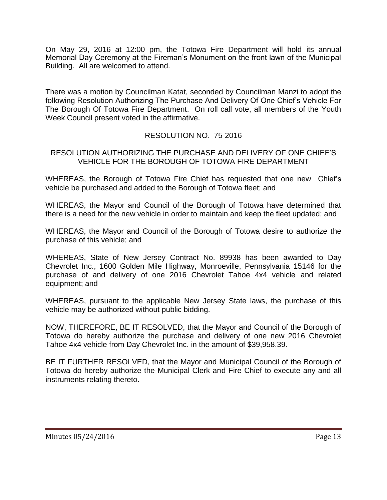On May 29, 2016 at 12:00 pm, the Totowa Fire Department will hold its annual Memorial Day Ceremony at the Fireman's Monument on the front lawn of the Municipal Building. All are welcomed to attend.

There was a motion by Councilman Katat, seconded by Councilman Manzi to adopt the following Resolution Authorizing The Purchase And Delivery Of One Chief's Vehicle For The Borough Of Totowa Fire Department. On roll call vote, all members of the Youth Week Council present voted in the affirmative.

# RESOLUTION NO. 75-2016

# RESOLUTION AUTHORIZING THE PURCHASE AND DELIVERY OF ONE CHIEF'S VEHICLE FOR THE BOROUGH OF TOTOWA FIRE DEPARTMENT

WHEREAS, the Borough of Totowa Fire Chief has requested that one new Chief's vehicle be purchased and added to the Borough of Totowa fleet; and

WHEREAS, the Mayor and Council of the Borough of Totowa have determined that there is a need for the new vehicle in order to maintain and keep the fleet updated; and

WHEREAS, the Mayor and Council of the Borough of Totowa desire to authorize the purchase of this vehicle; and

WHEREAS, State of New Jersey Contract No. 89938 has been awarded to Day Chevrolet Inc., 1600 Golden Mile Highway, Monroeville, Pennsylvania 15146 for the purchase of and delivery of one 2016 Chevrolet Tahoe 4x4 vehicle and related equipment; and

WHEREAS, pursuant to the applicable New Jersey State laws, the purchase of this vehicle may be authorized without public bidding.

NOW, THEREFORE, BE IT RESOLVED, that the Mayor and Council of the Borough of Totowa do hereby authorize the purchase and delivery of one new 2016 Chevrolet Tahoe 4x4 vehicle from Day Chevrolet Inc. in the amount of \$39,958.39.

BE IT FURTHER RESOLVED, that the Mayor and Municipal Council of the Borough of Totowa do hereby authorize the Municipal Clerk and Fire Chief to execute any and all instruments relating thereto.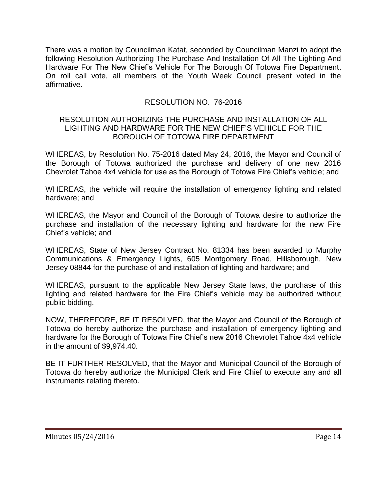There was a motion by Councilman Katat, seconded by Councilman Manzi to adopt the following Resolution Authorizing The Purchase And Installation Of All The Lighting And Hardware For The New Chief's Vehicle For The Borough Of Totowa Fire Department. On roll call vote, all members of the Youth Week Council present voted in the affirmative.

# RESOLUTION NO. 76-2016

#### RESOLUTION AUTHORIZING THE PURCHASE AND INSTALLATION OF ALL LIGHTING AND HARDWARE FOR THE NEW CHIEF'S VEHICLE FOR THE BOROUGH OF TOTOWA FIRE DEPARTMENT

WHEREAS, by Resolution No. 75-2016 dated May 24, 2016, the Mayor and Council of the Borough of Totowa authorized the purchase and delivery of one new 2016 Chevrolet Tahoe 4x4 vehicle for use as the Borough of Totowa Fire Chief's vehicle; and

WHEREAS, the vehicle will require the installation of emergency lighting and related hardware; and

WHEREAS, the Mayor and Council of the Borough of Totowa desire to authorize the purchase and installation of the necessary lighting and hardware for the new Fire Chief's vehicle; and

WHEREAS, State of New Jersey Contract No. 81334 has been awarded to Murphy Communications & Emergency Lights, 605 Montgomery Road, Hillsborough, New Jersey 08844 for the purchase of and installation of lighting and hardware; and

WHEREAS, pursuant to the applicable New Jersey State laws, the purchase of this lighting and related hardware for the Fire Chief's vehicle may be authorized without public bidding.

NOW, THEREFORE, BE IT RESOLVED, that the Mayor and Council of the Borough of Totowa do hereby authorize the purchase and installation of emergency lighting and hardware for the Borough of Totowa Fire Chief's new 2016 Chevrolet Tahoe 4x4 vehicle in the amount of \$9,974.40.

BE IT FURTHER RESOLVED, that the Mayor and Municipal Council of the Borough of Totowa do hereby authorize the Municipal Clerk and Fire Chief to execute any and all instruments relating thereto.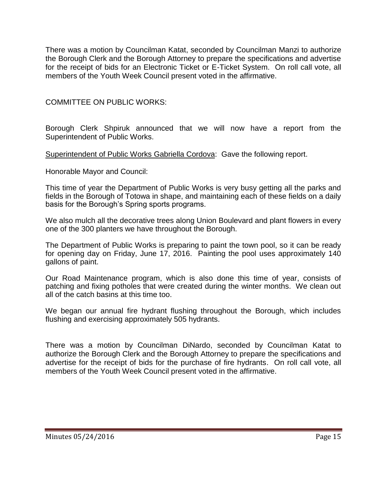There was a motion by Councilman Katat, seconded by Councilman Manzi to authorize the Borough Clerk and the Borough Attorney to prepare the specifications and advertise for the receipt of bids for an Electronic Ticket or E-Ticket System. On roll call vote, all members of the Youth Week Council present voted in the affirmative.

COMMITTEE ON PUBLIC WORKS:

Borough Clerk Shpiruk announced that we will now have a report from the Superintendent of Public Works.

Superintendent of Public Works Gabriella Cordova: Gave the following report.

Honorable Mayor and Council:

This time of year the Department of Public Works is very busy getting all the parks and fields in the Borough of Totowa in shape, and maintaining each of these fields on a daily basis for the Borough's Spring sports programs.

We also mulch all the decorative trees along Union Boulevard and plant flowers in every one of the 300 planters we have throughout the Borough.

The Department of Public Works is preparing to paint the town pool, so it can be ready for opening day on Friday, June 17, 2016. Painting the pool uses approximately 140 gallons of paint.

Our Road Maintenance program, which is also done this time of year, consists of patching and fixing potholes that were created during the winter months. We clean out all of the catch basins at this time too.

We began our annual fire hydrant flushing throughout the Borough, which includes flushing and exercising approximately 505 hydrants.

There was a motion by Councilman DiNardo, seconded by Councilman Katat to authorize the Borough Clerk and the Borough Attorney to prepare the specifications and advertise for the receipt of bids for the purchase of fire hydrants. On roll call vote, all members of the Youth Week Council present voted in the affirmative.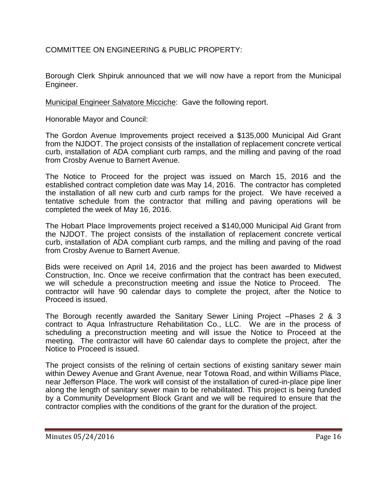COMMITTEE ON ENGINEERING & PUBLIC PROPERTY:

Borough Clerk Shpiruk announced that we will now have a report from the Municipal Engineer.

Municipal Engineer Salvatore Micciche: Gave the following report.

Honorable Mayor and Council:

The Gordon Avenue Improvements project received a \$135,000 Municipal Aid Grant from the NJDOT. The project consists of the installation of replacement concrete vertical curb, installation of ADA compliant curb ramps, and the milling and paving of the road from Crosby Avenue to Barnert Avenue.

The Notice to Proceed for the project was issued on March 15, 2016 and the established contract completion date was May 14, 2016. The contractor has completed the installation of all new curb and curb ramps for the project. We have received a tentative schedule from the contractor that milling and paving operations will be completed the week of May 16, 2016.

The Hobart Place Improvements project received a \$140,000 Municipal Aid Grant from the NJDOT. The project consists of the installation of replacement concrete vertical curb, installation of ADA compliant curb ramps, and the milling and paving of the road from Crosby Avenue to Barnert Avenue.

Bids were received on April 14, 2016 and the project has been awarded to Midwest Construction, Inc. Once we receive confirmation that the contract has been executed, we will schedule a preconstruction meeting and issue the Notice to Proceed. The contractor will have 90 calendar days to complete the project, after the Notice to Proceed is issued.

The Borough recently awarded the Sanitary Sewer Lining Project –Phases 2 & 3 contract to Aqua Infrastructure Rehabilitation Co., LLC. We are in the process of scheduling a preconstruction meeting and will issue the Notice to Proceed at the meeting. The contractor will have 60 calendar days to complete the project, after the Notice to Proceed is issued.

The project consists of the relining of certain sections of existing sanitary sewer main within Dewey Avenue and Grant Avenue, near Totowa Road, and within Williams Place, near Jefferson Place. The work will consist of the installation of cured-in-place pipe liner along the length of sanitary sewer main to be rehabilitated. This project is being funded by a Community Development Block Grant and we will be required to ensure that the contractor complies with the conditions of the grant for the duration of the project.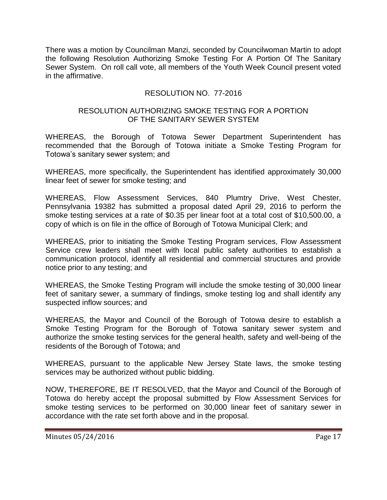There was a motion by Councilman Manzi, seconded by Councilwoman Martin to adopt the following Resolution Authorizing Smoke Testing For A Portion Of The Sanitary Sewer System. On roll call vote, all members of the Youth Week Council present voted in the affirmative.

# RESOLUTION NO. 77-2016

#### RESOLUTION AUTHORIZING SMOKE TESTING FOR A PORTION OF THE SANITARY SEWER SYSTEM

WHEREAS, the Borough of Totowa Sewer Department Superintendent has recommended that the Borough of Totowa initiate a Smoke Testing Program for Totowa's sanitary sewer system; and

WHEREAS, more specifically, the Superintendent has identified approximately 30,000 linear feet of sewer for smoke testing; and

WHEREAS, Flow Assessment Services, 840 Plumtry Drive, West Chester, Pennsylvania 19382 has submitted a proposal dated April 29, 2016 to perform the smoke testing services at a rate of \$0.35 per linear foot at a total cost of \$10,500.00, a copy of which is on file in the office of Borough of Totowa Municipal Clerk; and

WHEREAS, prior to initiating the Smoke Testing Program services, Flow Assessment Service crew leaders shall meet with local public safety authorities to establish a communication protocol, identify all residential and commercial structures and provide notice prior to any testing; and

WHEREAS, the Smoke Testing Program will include the smoke testing of 30,000 linear feet of sanitary sewer, a summary of findings, smoke testing log and shall identify any suspected inflow sources; and

WHEREAS, the Mayor and Council of the Borough of Totowa desire to establish a Smoke Testing Program for the Borough of Totowa sanitary sewer system and authorize the smoke testing services for the general health, safety and well-being of the residents of the Borough of Totowa; and

WHEREAS, pursuant to the applicable New Jersey State laws, the smoke testing services may be authorized without public bidding.

NOW, THEREFORE, BE IT RESOLVED, that the Mayor and Council of the Borough of Totowa do hereby accept the proposal submitted by Flow Assessment Services for smoke testing services to be performed on 30,000 linear feet of sanitary sewer in accordance with the rate set forth above and in the proposal.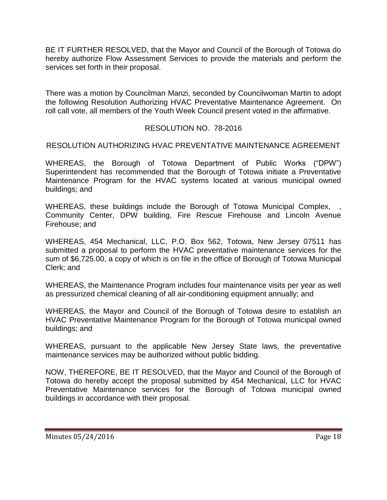BE IT FURTHER RESOLVED, that the Mayor and Council of the Borough of Totowa do hereby authorize Flow Assessment Services to provide the materials and perform the services set forth in their proposal.

There was a motion by Councilman Manzi, seconded by Councilwoman Martin to adopt the following Resolution Authorizing HVAC Preventative Maintenance Agreement. On roll call vote, all members of the Youth Week Council present voted in the affirmative.

# RESOLUTION NO. 78-2016

#### RESOLUTION AUTHORIZING HVAC PREVENTATIVE MAINTENANCE AGREEMENT

WHEREAS, the Borough of Totowa Department of Public Works ("DPW") Superintendent has recommended that the Borough of Totowa initiate a Preventative Maintenance Program for the HVAC systems located at various municipal owned buildings; and

WHEREAS, these buildings include the Borough of Totowa Municipal Complex, Community Center, DPW building, Fire Rescue Firehouse and Lincoln Avenue Firehouse; and

WHEREAS, 454 Mechanical, LLC, P.O. Box 562, Totowa, New Jersey 07511 has submitted a proposal to perform the HVAC preventative maintenance services for the sum of \$6,725.00, a copy of which is on file in the office of Borough of Totowa Municipal Clerk; and

WHEREAS, the Maintenance Program includes four maintenance visits per year as well as pressurized chemical cleaning of all air-conditioning equipment annually; and

WHEREAS, the Mayor and Council of the Borough of Totowa desire to establish an HVAC Preventative Maintenance Program for the Borough of Totowa municipal owned buildings; and

WHEREAS, pursuant to the applicable New Jersey State laws, the preventative maintenance services may be authorized without public bidding.

NOW, THEREFORE, BE IT RESOLVED, that the Mayor and Council of the Borough of Totowa do hereby accept the proposal submitted by 454 Mechanical, LLC for HVAC Preventative Maintenance services for the Borough of Totowa municipal owned buildings in accordance with their proposal.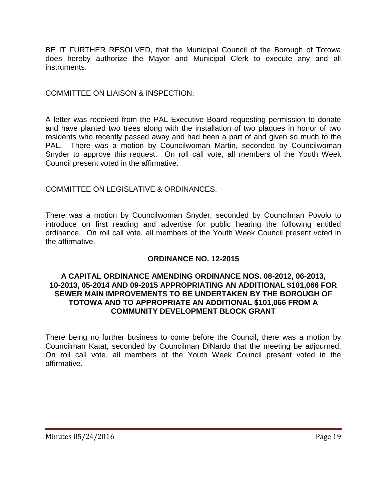BE IT FURTHER RESOLVED, that the Municipal Council of the Borough of Totowa does hereby authorize the Mayor and Municipal Clerk to execute any and all instruments.

COMMITTEE ON LIAISON & INSPECTION:

A letter was received from the PAL Executive Board requesting permission to donate and have planted two trees along with the installation of two plaques in honor of two residents who recently passed away and had been a part of and given so much to the PAL. There was a motion by Councilwoman Martin, seconded by Councilwoman Snyder to approve this request. On roll call vote, all members of the Youth Week Council present voted in the affirmative.

COMMITTEE ON LEGISLATIVE & ORDINANCES:

There was a motion by Councilwoman Snyder, seconded by Councilman Povolo to introduce on first reading and advertise for public hearing the following entitled ordinance. On roll call vote, all members of the Youth Week Council present voted in the affirmative.

# **ORDINANCE NO. 12-2015**

#### **A CAPITAL ORDINANCE AMENDING ORDINANCE NOS. 08-2012, 06-2013, 10-2013, 05-2014 AND 09-2015 APPROPRIATING AN ADDITIONAL \$101,066 FOR SEWER MAIN IMPROVEMENTS TO BE UNDERTAKEN BY THE BOROUGH OF TOTOWA AND TO APPROPRIATE AN ADDITIONAL \$101,066 FROM A COMMUNITY DEVELOPMENT BLOCK GRANT**

There being no further business to come before the Council, there was a motion by Councilman Katat, seconded by Councilman DiNardo that the meeting be adjourned. On roll call vote, all members of the Youth Week Council present voted in the affirmative.